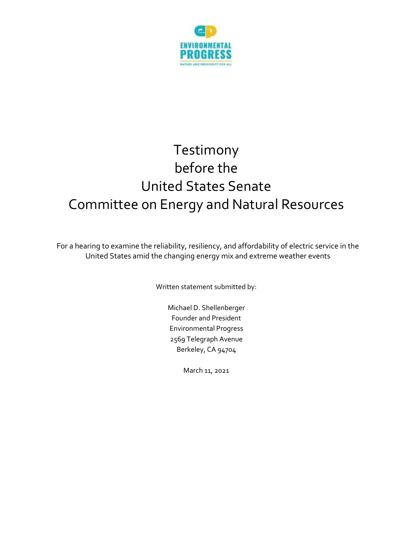

## Testimony before the United States Senate Committee on Energy and Natural Resources

For a hearing to examine the reliability, resiliency, and affordability of electric service in the United States amid the changing energy mix and extreme weather events

Written statement submitted by:

Michael D. Shellenberger Founder and President Environmental Progress 2569 Telegraph Avenue Berkeley, CA 94704

March 11, 2021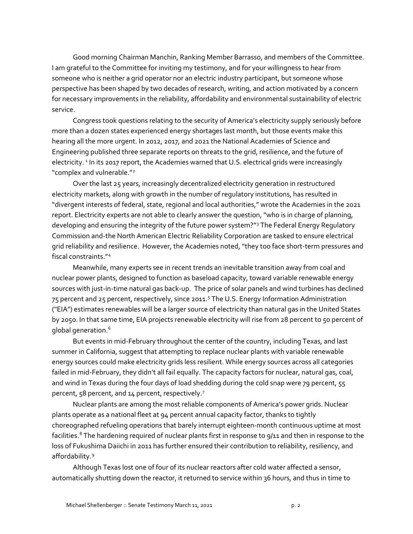Good morning Chairman Manchin, Ranking Member Barrasso, and members of the Committee. I am grateful to the Committee for inviting my testimony, and for your willingness to hear from someone who is neither a grid operator nor an electric industry participant, but someone whose perspective has been shaped by two decades of research, writing, and action motivated by a concern for necessary improvements in the reliability, affordability and environmental sustainability of electric service.

Congress took questions relating to the security of America's electricity supply seriously before more than a dozen states experienced energy shortages last month, but those events make this hearing all the more urgent. In 2012, 2017, and 2021 the National Academies of Science and Engineering published three separate reports on threats to the grid, resilience, and the future of electricity. <sup>[1](#page-3-0)</sup> In its 2017 report, the Academies warned that U.S. electrical grids were increasingly "complex and vulnerable."[2](#page-3-1)

Over the last 25 years, increasingly decentralized electricity generation in restructured electricity markets, along with growth in the number of regulatory institutions, has resulted in "divergent interests of federal, state, regional and local authorities," wrote the Academies in the 2021 report. Electricity experts are not able to clearly answer the question, "who is in charge of planning, developing and ensuring the integrity of the future power system?"[3](#page-3-2) The Federal Energy Regulatory Commission and-the North American Electric Reliability Corporation are tasked to ensure electrical grid reliability and resilience. However, the Academies noted, "they too face short-term pressures and fiscal constraints."[4](#page-3-3)

Meanwhile, many experts see in recent trends an inevitable transition away from coal and nuclear power plants, designed to function as baseload capacity, toward variable renewable energy sources with just-in-time natural gas back-up. The price of solar panels and wind turbines has declined 75 percent and 25 percent, respectively, since 2011.[5](#page-3-4) The U.S. Energy Information Administration ("EIA") estimates renewables will be a larger source of electricity than natural gas in the United States by 2050. In that same time, EIA projects renewable electricity will rise from 28 percent to 50 percent of global generation.<sup>6</sup>

But events in mid-February throughout the center of the country, including Texas, and last summer in California, suggest that attempting to replace nuclear plants with variable renewable energy sources could make electricity grids less resilient. While energy sources across all categories failed in mid-February, they didn't all fail equally. The capacity factors for nuclear, natural gas, coal, and wind in Texas during the four days of load shedding during the cold snap were 79 percent, 55 percent, 58 percent, and 14 percent, respectively.<sup>[7](#page-3-6)</sup>

Nuclear plants are among the most reliable components of America's power grids. Nuclear plants operate as a national fleet at 94 percent annual capacity factor, thanks to tightly choreographed refueling operations that barely interrupt eighteen-month continuous uptime at most facilities.<sup>[8](#page-3-7)</sup> The hardening required of nuclear plants first in response to 9/11 and then in response to the loss of Fukushima Daiichi in 2011 has further ensured their contribution to reliability, resiliency, and affordability.<sup>[9](#page-3-8)</sup>

Although Texas lost one of four of its nuclear reactors after cold water affected a sensor, automatically shutting down the reactor, it returned to service within 36 hours, and thus in time to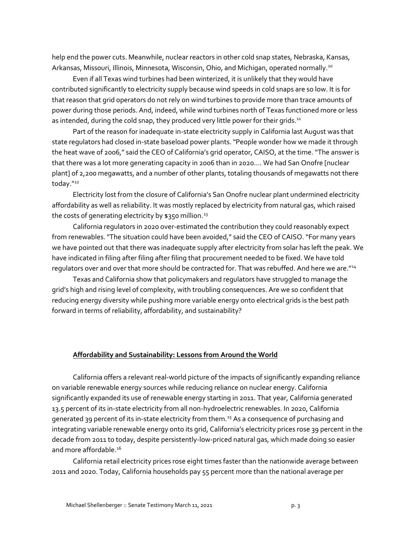help end the power cuts. Meanwhile, nuclear reactors in other cold snap states, Nebraska, Kansas, Arkansas, Missouri, Illinois, Minnesota, Wisconsin, Ohio, and Michigan, operated normally.<sup>10</sup>

Even if all Texas wind turbines had been winterized, it is unlikely that they would have contributed significantly to electricity supply because wind speeds in cold snaps are so low. It is for that reason that grid operators do not rely on wind turbines to provide more than trace amounts of power during those periods. And, indeed, while wind turbines north of Texas functioned more or less as intended, during the cold snap, they produced very little power for their grids.<sup>[11](#page-3-10)</sup>

Part of the reason for inadequate in-state electricity supply in California last August was that state regulators had closed in-state baseload power plants. "People wonder how we made it through the heat wave of 2006," said the CEO of California's grid operator, CAISO, at the time. "The answer is that there was a lot more generating capacity in 2006 than in 2020.... We had San Onofre [nuclear plant] of 2,200 megawatts, and a number of other plants, totaling thousands of megawatts not there today."<sup>[12](#page-3-11)</sup>

Electricity lost from the closure of California's San Onofre nuclear plant undermined electricity affordability as well as reliability. It was mostly replaced by electricity from natural gas, which raised the costs of generating electricity by \$350 million.<sup>[13](#page-3-12)</sup>

California regulators in 2020 over-estimated the contribution they could reasonably expect from renewables. "The situation could have been avoided," said the CEO of CAISO. "For many years we have pointed out that there was inadequate supply after electricity from solar has left the peak. We have indicated in filing after filing after filing that procurement needed to be fixed. We have told regulators over and over that more should be contracted for. That was rebuffed. And here we are."<sup>[14](#page-3-13)</sup>

Texas and California show that policymakers and regulators have struggled to manage the grid's high and rising level of complexity, with troubling consequences. Are we so confident that reducing energy diversity while pushing more variable energy onto electrical grids is the best path forward in terms of reliability, affordability, and sustainability?

## **Affordability and Sustainability: Lessons from Around the World**

California offers a relevant real-world picture of the impacts of significantly expanding reliance on variable renewable energy sources while reducing reliance on nuclear energy. California significantly expanded its use of renewable energy starting in 2011. That year, California generated 13.5 percent of its in-state electricity from all non-hydroelectric renewables. In 2020, California generated 39 percent of its in-state electricity from them.<sup>[15](#page-3-14)</sup> As a consequence of purchasing and integrating variable renewable energy onto its grid, California's electricity prices rose 39 percent in the decade from 2011 to today, despite persistently-low-priced natural gas, which made doing so easier and more affordable.<sup>[16](#page-3-15)</sup>

California retail electricity prices rose eight times faster than the nationwide average between 2011 and 2020. Today, California households pay 55 percent more than the national average per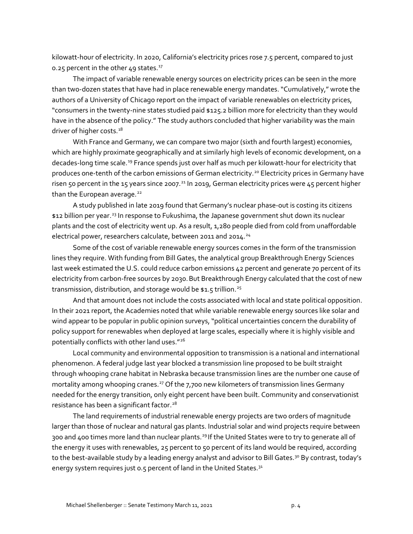<span id="page-3-0"></span>kilowatt-hour of electricity. In 2020, California's electricity prices rose 7.5 percent, compared to just 0.25 percent in the other 49 states. $^{17}$  $^{17}$  $^{17}$ 

<span id="page-3-1"></span>The impact of variable renewable energy sources on electricity prices can be seen in the more than two-dozen states that have had in place renewable energy mandates. "Cumulatively," wrote the authors of a University of Chicago report on the impact of variable renewables on electricity prices, "consumers in the twenty-nine states studied paid \$125.2 billion more for electricity than they would have in the absence of the policy." The study authors concluded that higher variability was the main driver of higher costs.<sup>18</sup>

<span id="page-3-4"></span><span id="page-3-3"></span><span id="page-3-2"></span>With France and Germany, we can compare two major (sixth and fourth largest) economies, which are highly proximate geographically and at similarly high levels of economic development, on a decades-long time scale.<sup>[19](#page-4-2)</sup> France spends just over half as much per kilowatt-hour for electricity that produces one-tenth of the carbon emissions of German electricity.<sup>[20](#page-4-3)</sup> Electricity prices in Germany have risen 50 percent in the 15 years since 2007.<sup>[21](#page-4-4)</sup> In 2019, German electricity prices were 45 percent higher than the European average.<sup>[22](#page-4-5)</sup>

<span id="page-3-5"></span>A study published in late 2019 found that Germany's nuclear phase-out is costing its citizens \$12 billion per year.<sup>[23](#page-4-6)</sup> In response to Fukushima, the Japanese government shut down its nuclear plants and the cost of electricity went up. As a result, 1,280 people died from cold from unaffordable electrical power, researchers calculate, between 2011 and 2014.<sup>[24](#page-4-7)</sup>

<span id="page-3-8"></span><span id="page-3-7"></span><span id="page-3-6"></span>Some of the cost of variable renewable energy sources comes in the form of the transmission lines they require. With funding from Bill Gates, the analytical group Breakthrough Energy Sciences last week estimated the U.S. could reduce carbon emissions 42 percent and generate 70 percent of its electricity from carbon-free sources by 2030. But Breakthrough Energy calculated that the cost of new transmission, distribution, and storage would be \$1.5 trillion.<sup>[25](#page-4-8)</sup>

<span id="page-3-10"></span><span id="page-3-9"></span>And that amount does not include the costs associated with local and state political opposition. In their 2021 report, the Academies noted that while variable renewable energy sources like solar and wind appear to be popular in public opinion surveys, "political uncertainties concern the durability of policy support for renewables when deployed at large scales, especially where it is highly visible and potentially conflicts with other land uses."[26](#page-4-9)

<span id="page-3-13"></span><span id="page-3-12"></span><span id="page-3-11"></span>Local community and environmental opposition to transmission is a national and international phenomenon. A federal judge last year blocked a transmission line proposed to be built straight through whooping crane habitat in Nebraska because transmission lines are the number one cause of mortality among whooping cranes.<sup>[27](#page-4-10)</sup> Of the 7,700 new kilometers of transmission lines Germany needed for the energy transition, only eight percent have been built. Community and conservationist resistance has been a significant factor.<sup>[28](#page-4-11)</sup>

<span id="page-3-15"></span><span id="page-3-14"></span>The land requirements of industrial renewable energy projects are two orders of magnitude larger than those of nuclear and natural gas plants. Industrial solar and wind projects require between 300 and 400 times more land than nuclear plants.<sup>[29](#page-4-12)</sup> If the United States were to try to generate all of the energy it uses with renewables, 25 percent to 50 percent of its land would be required, according to the best-available study by a leading energy analyst and advisor to Bill Gates.<sup>[30](#page-4-13)</sup> By contrast, today's energy system requires just 0.5 percent of land in the United States.<sup>[31](#page-4-14)</sup>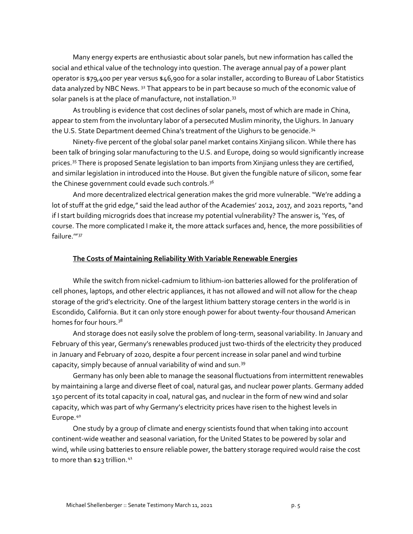<span id="page-4-0"></span>Many energy experts are enthusiastic about solar panels, but new information has called the social and ethical value of the technology into question. The average annual pay of a power plant operator is \$79,400 per year versus \$46,900 for a solar installer, according to Bureau of Labor Statistics data analyzed by NBC News. <sup>[32](#page-4-15)</sup> That appears to be in part because so much of the economic value of solar panels is at the place of manufacture, not installation.<sup>[33](#page-4-16)</sup>

<span id="page-4-1"></span>As troubling is evidence that cost declines of solar panels, most of which are made in China, appear to stem from the involuntary labor of a persecuted Muslim minority, the Uighurs. In January the U.S. State Department deemed China's treatment of the Uighurs to be genocide.<sup>[34](#page-4-17)</sup>

<span id="page-4-3"></span><span id="page-4-2"></span>Ninety-five percent of the global solar panel market contains Xinjiang silicon. While there has been talk of bringing solar manufacturing to the U.S. and Europe, doing so would significantly increase prices.<sup>[35](#page-4-18)</sup> There is proposed Senate legislation to ban imports from Xinjiang unless they are certified, and similar legislation in introduced into the House. But given the fungible nature of silicon, some fear the Chinese government could evade such controls.<sup>[36](#page-4-19)</sup>

<span id="page-4-5"></span><span id="page-4-4"></span>And more decentralized electrical generation makes the grid more vulnerable. "We're adding a lot of stuff at the grid edge," said the lead author of the Academies' 2012, 2017, and 2021 reports, "and if I start building microgrids does that increase my potential vulnerability? The answer is, 'Yes, of course. The more complicated I make it, the more attack surfaces and, hence, the more possibilities of failure.'"[37](#page-4-20)

## **The Costs of Maintaining Reliability With Variable Renewable Energies**

<span id="page-4-8"></span><span id="page-4-7"></span><span id="page-4-6"></span>While the switch from nickel-cadmium to lithium-ion batteries allowed for the proliferation of cell phones, laptops, and other electric appliances, it has not allowed and will not allow for the cheap storage of the grid's electricity. One of the largest lithium battery storage centers in the world is in Escondido, California. But it can only store enough power for about twenty-four thousand American homes for four hours.<sup>[38](#page-4-21)</sup>

<span id="page-4-11"></span><span id="page-4-10"></span><span id="page-4-9"></span>And storage does not easily solve the problem of long-term, seasonal variability. In January and February of this year, Germany's renewables produced just two-thirds of the electricity they produced in January and February of 2020, despite a four percent increase in solar panel and wind turbine capacity, simply because of annual variability of wind and sun.[39](#page-5-0)

<span id="page-4-14"></span><span id="page-4-13"></span><span id="page-4-12"></span>Germany has only been able to manage the seasonal fluctuations from intermittent renewables by maintaining a large and diverse fleet of coal, natural gas, and nuclear power plants. Germany added 150 percent of its total capacity in coal, natural gas, and nuclear in the form of new wind and solar capacity, which was part of why Germany's electricity prices have risen to the highest levels in Europe.<sup>[40](#page-5-1)</sup>

<span id="page-4-21"></span><span id="page-4-20"></span><span id="page-4-19"></span><span id="page-4-18"></span><span id="page-4-17"></span><span id="page-4-16"></span><span id="page-4-15"></span>One study by a group of climate and energy scientists found that when taking into account continent-wide weather and seasonal variation, for the United States to be powered by solar and wind, while using batteries to ensure reliable power, the battery storage required would raise the cost to more than \$23 trillion.<sup>[41](#page-5-2)</sup>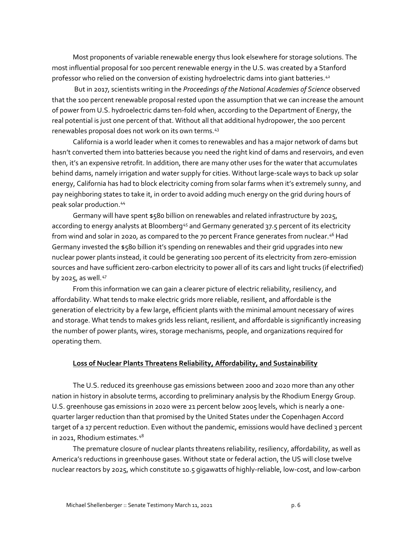Most proponents of variable renewable energy thus look elsewhere for storage solutions. The most influential proposal for 100 percent renewable energy in the U.S. was created by a Stanford professor who relied on the conversion of existing hydroelectric dams into giant batteries.<sup>[42](#page-5-3)</sup>

<span id="page-5-1"></span><span id="page-5-0"></span>But in 2017, scientists writing in the *Proceedings of the National Academies of Science* observed that the 100 percent renewable proposal rested upon the assumption that we can increase the amount of power from U.S. hydroelectric dams ten-fold when, according to the Department of Energy, the real potential is just one percent of that. Without all that additional hydropower, the 100 percent renewables proposal does not work on its own terms.<sup>[43](#page-5-4)</sup>

<span id="page-5-4"></span><span id="page-5-3"></span><span id="page-5-2"></span>California is a world leader when it comes to renewables and has a major network of dams but hasn't converted them into batteries because you need the right kind of dams and reservoirs, and even then, it's an expensive retrofit. In addition, there are many other uses for the water that accumulates behind dams, namely irrigation and water supply for cities. Without large-scale ways to back up solar energy, California has had to block electricity coming from solar farms when it's extremely sunny, and pay neighboring states to take it, in order to avoid adding much energy on the grid during hours of peak solar production. [44](#page-5-5)

<span id="page-5-6"></span><span id="page-5-5"></span>Germany will have spent \$580 billion on renewables and related infrastructure by 2025, according to energy analysts at Bloomberg<sup>[45](#page-5-6)</sup> and Germany generated 37.5 percent of its electricity from wind and solar in 2020, as compared to the 70 percent France generates from nuclear.<sup>[46](#page-5-7)</sup> Had Germany invested the \$580 billion it's spending on renewables and their grid upgrades into new nuclear power plants instead, it could be generating 100 percent of its electricity from zero-emission sources and have sufficient zero-carbon electricity to power all of its cars and light trucks (if electrified) by 2025, as well.<sup>[47](#page-5-8)</sup>

<span id="page-5-9"></span><span id="page-5-8"></span><span id="page-5-7"></span>From this information we can gain a clearer picture of electric reliability, resiliency, and affordability. What tends to make electric grids more reliable, resilient, and affordable is the generation of electricity by a few large, efficient plants with the minimal amount necessary of wires and storage. What tends to makes grids less reliant, resilient, and affordable is significantly increasing the number of power plants, wires, storage mechanisms, people, and organizations required for operating them.

## **Loss of Nuclear Plants Threatens Reliability, Affordability, and Sustainability**

<span id="page-5-13"></span><span id="page-5-12"></span><span id="page-5-11"></span><span id="page-5-10"></span>The U.S. reduced its greenhouse gas emissions between 2000 and 2020 more than any other nation in history in absolute terms, according to preliminary analysis by the Rhodium Energy Group. U.S. greenhouse gas emissions in 2020 were 21 percent below 2005 levels, which is nearly a onequarter larger reduction than that promised by the United States under the Copenhagen Accord target of a 17 percent reduction. Even without the pandemic, emissions would have declined 3 percent in 2021, Rhodium estimates.[48](#page-5-9)

<span id="page-5-15"></span><span id="page-5-14"></span>The premature closure of nuclear plants threatens reliability, resiliency, affordability, as well as America's reductions in greenhouse gases. Without state or federal action, the US will close twelve nuclear reactors by 2025, which constitute 10.5 gigawatts of highly-reliable, low-cost, and low-carbon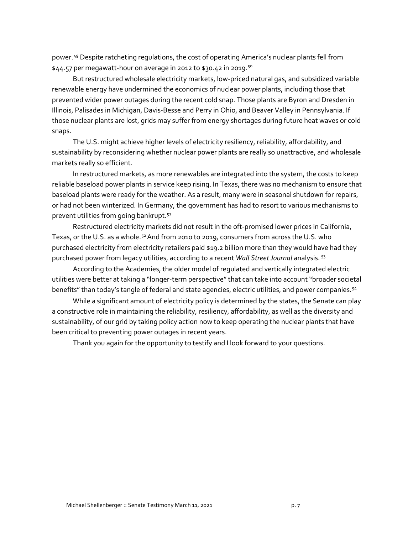power.[49](#page-5-10) Despite ratcheting regulations, the cost of operating America's nuclear plants fell from \$44.57 per megawatt-hour on average in 2012 to \$30.42 in 2019.<sup>[50](#page-5-11)</sup>

But restructured wholesale electricity markets, low-priced natural gas, and subsidized variable renewable energy have undermined the economics of nuclear power plants, including those that prevented wider power outages during the recent cold snap. Those plants are Byron and Dresden in Illinois, Palisades in Michigan, Davis-Besse and Perry in Ohio, and Beaver Valley in Pennsylvania. If those nuclear plants are lost, grids may suffer from energy shortages during future heat waves or cold snaps.

The U.S. might achieve higher levels of electricity resiliency, reliability, affordability, and sustainability by reconsidering whether nuclear power plants are really so unattractive, and wholesale markets really so efficient.

In restructured markets, as more renewables are integrated into the system, the costs to keep reliable baseload power plants in service keep rising. In Texas, there was no mechanism to ensure that baseload plants were ready for the weather. As a result, many were in seasonal shutdown for repairs, or had not been winterized. In Germany, the government has had to resort to various mechanisms to prevent utilities from going bankrupt.<sup>51</sup>

Restructured electricity markets did not result in the oft-promised lower prices in California, Texas, or the U.S. as a whole.<sup>[52](#page-5-13)</sup> And from 2010 to 2019, consumers from across the U.S. who purchased electricity from electricity retailers paid \$19.2 billion more than they would have had they purchased power from legacy utilities, according to a recent *Wall Street Journal* analysis. [53](#page-5-14)

According to the Academies, the older model of regulated and vertically integrated electric utilities were better at taking a "longer-term perspective" that can take into account "broader societal benefits" than today's tangle of federal and state agencies, electric utilities, and power companies.<sup>[54](#page-5-15)</sup>

While a significant amount of electricity policy is determined by the states, the Senate can play a constructive role in maintaining the reliability, resiliency, affordability, as well as the diversity and sustainability, of our grid by taking policy action now to keep operating the nuclear plants that have been critical to preventing power outages in recent years.

Thank you again for the opportunity to testify and I look forward to your questions.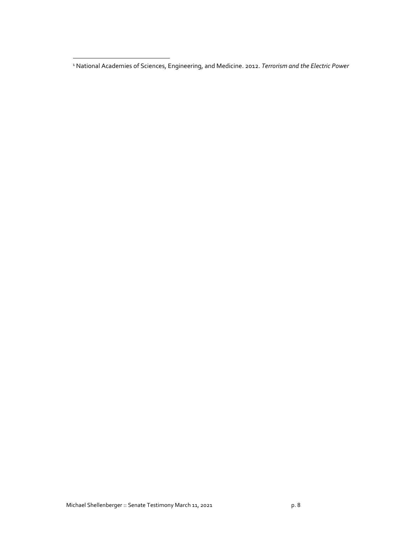$\overline{\phantom{a}}$ 

<sup>1</sup> National Academies of Sciences, Engineering, and Medicine. 2012. *Terrorism and the Electric Power*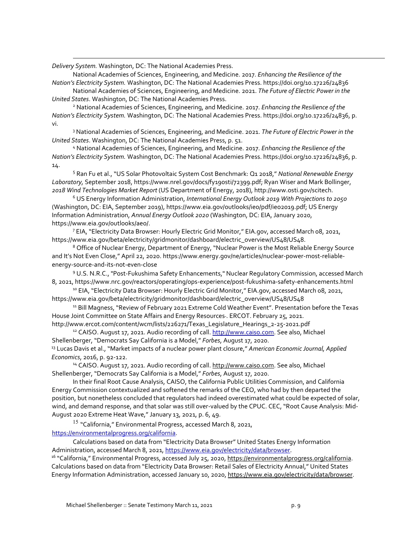*Delivery System.* Washington, DC: The National Academies Press.

 $\overline{\phantom{a}}$ 

National Academies of Sciences, Engineering, and Medicine. 2017. *Enhancing the Resilience of the Nation's Electricity System.* Washington, DC: The National Academies Press[. https://doi.org/10.17226/24836](https://doi.org/10.17226/24836)

National Academies of Sciences, Engineering, and Medicine. 2021. *The Future of Electric Power in the United States*. Washington, DC: The National Academies Press.

<sup>2</sup> National Academies of Sciences, Engineering, and Medicine. 2017. *Enhancing the Resilience of the Nation's Electricity System.* Washington, DC: The National Academies Press[. https://doi.org/10.17226/24836,](https://doi.org/10.17226/24836) p. vi.

<sup>3</sup> National Academies of Sciences, Engineering, and Medicine. 2021. *The Future of Electric Power in the United States*. Washington, DC: The National Academies Press, p. 51.

<sup>4</sup> National Academies of Sciences, Engineering, and Medicine. 2017. *Enhancing the Resilience of the Nation's Electricity System.* Washington, DC: The National Academies Press[. https://doi.org/10.17226/24836,](https://doi.org/10.17226/24836) p. 14.

<sup>5</sup> Ran Fu et al., "US Solar Photovoltaic System Cost Benchmark: Q1 2018," *National Renewable Energy Laboratory,* September 2018, https://www.nrel.gov/docs/fy19osti/72399.pdf; Ryan Wiser and Mark Bollinger, *2018 Wind Technologies Market Report* (US Department of Energy, 2018), http://www.osti.gov/scitech.

<sup>6</sup> US Energy Information Administration, *International Energy Outlook 2019 With Projections to 2050*  (Washington, DC: EIA, September 2019), https://www.eia.gov/outlooks/ieo/pdf/ieo2019.pdf; US Energy Information Administration, *Annual Energy Outlook 2020* (Washington, DC: EIA, January 2020, https://www.eia.gov/outlooks/aeo/.

<sup>7</sup> EIA, "Electricity Data Browser: Hourly Electric Grid Monitor," EIA.gov, accessed March 08, 2021, https://www.eia.gov/beta/electricity/gridmonitor/dashboard/electric\_overview/US48/US48.

<sup>8</sup> Office of Nuclear Energy, Department of Energy, "Nuclear Power is the Most Reliable Energy Source and It's Not Even Close," April 22, 2020. https://www.energy.gov/ne/articles/nuclear-power-most-reliableenergy-source-and-its-not-even-close

<sup>9</sup> U.S. N.R.C., "Post-Fukushima Safety Enhancements," Nuclear Regulatory Commission, accessed March 8, 2021, https://www.nrc.gov/reactors/operating/ops-experience/post-fukushima-safety-enhancements.html

<sup>10</sup> EIA, "Electricity Data Browser: Hourly Electric Grid Monitor," EIA.gov, accessed March 08, 2021, https://www.eia.gov/beta/electricity/gridmonitor/dashboard/electric\_overview/US48/US48

<sup>11</sup> Bill Magness, "Review of February 2021 Extreme Cold Weather Event". Presentation before the Texas House Joint Committee on State Affairs and Energy Resources . ERCOT. February 25, 2021.

http://www.ercot.com/content/wcm/lists/226271/Texas\_Legislature\_Hearings\_2-25-2021.pdf <sup>12</sup> CAISO. August 17, 2021. Audio recording of call. [http://www.caiso.com.](http://www.caiso.com/) See also, Michael Shellenberger, "Democrats Say California is a Model," *Forbes*, August 17, 2020.

<sup>13</sup> Lucas Davis et al., "Market impacts of a nuclear power plant closure," *American Economic Journal, Applied Economics*, 2016, p. 92-122.

<sup>14</sup> CAISO. August 17, 2021. Audio recording of call. [http://www.caiso.com.](http://www.caiso.com/) See also, Michael Shellenberger, "Democrats Say California is a Model," *Forbes*, August 17, 2020.

In their final Root Cause Analysis, CAISO, the California Public Utilities Commission, and California Energy Commission contextualized and softened the remarks of the CEO, who had by then departed the position, but nonetheless concluded that regulators had indeed overestimated what could be expected of solar, wind, and demand response, and that solar was still over-valued by the CPUC. CEC, "Root Cause Analysis: Mid-August 2020 Extreme Heat Wave," January 13, 2021, p. 6, 49.

 $^{15}$  "California," Environmental Progress, accessed March 8, 2021, [https://environmentalprogress.org/california.](https://environmentalprogress.org/california)

Calculations based on data from "Electricity Data Browser" United States Energy Information Administration, accessed March 8, 2021[, https://www.eia.gov/electricity/data/browser.](https://www.eia.gov/electricity/data/browser/)

<sup>16</sup> "California," Environmental Progress, accessed July 25, 2020[, https://environmentalprogress.org/california.](https://environmentalprogress.org/california) Calculations based on data from "Electricity Data Browser: Retail Sales of Electricity Annual," United States Energy Information Administration, accessed January 10, 2020, [https://www.eia.gov/electricity/data/browser.](https://www.eia.gov/electricity/data/browser/)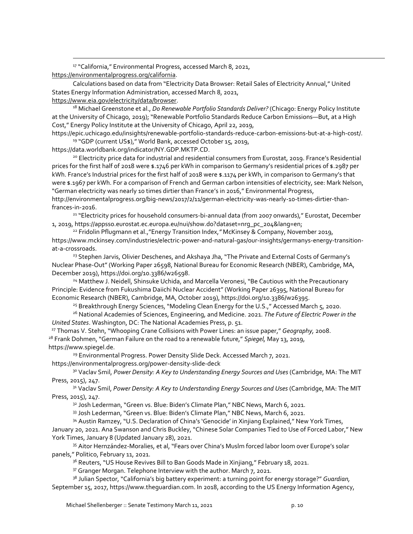<sup>17</sup> "California," Environmental Progress, accessed March 8, 2021, [https://environmentalprogress.org/california.](https://environmentalprogress.org/california)

Calculations based on data from "Electricity Data Browser: Retail Sales of Electricity Annual," United States Energy Information Administration, accessed March 8, 2021,

[https://www.eia.gov/electricity/data/browser.](https://www.eia.gov/electricity/data/browser/)

<sup>18</sup> Michael Greenstone et al., *Do Renewable Portfolio Standards Deliver?* (Chicago: Energy Policy Institute at the University of Chicago, 2019); "Renewable Portfolio Standards Reduce Carbon Emissions—But, at a High Cost," Energy Policy Institute at the University of Chicago, April 22, 2019,

https://epic.uchicago.edu/insights/renewable-portfolio-standards-reduce-carbon-emissions-but-at-a-high-cost/. <sup>19</sup> "GDP (current US\$)," World Bank, accessed October 15, 2019,

https://data.worldbank.org/indicator/NY.GDP.MKTP.CD.

<sup>20</sup> Electricity price data for industrial and residential consumers from Eurostat, 2019. France's Residential prices for the first half of 2018 were \$.1746 per kWh in comparison to Germany's residential prices of \$.2987 per kWh. France's Industrial prices for the first half of 2018 were \$.1174 per kWh, in comparison to Germany's that were \$.1967 per kWh. For a comparison of French and German carbon intensities of electricity, see: Mark Nelson, "German electricity was nearly 10 times dirtier than France's in 2016," Environmental Progress, http://environmentalprogress.org/big-news/2017/2/11/german-electricity-was-nearly-10-times-dirtier-thanfrances-in-2016.

<sup>21</sup> "Electricity prices for household consumers-bi-annual data (from 2007 onwards)," Eurostat, December 1, 2019, https://appsso.eurostat.ec.europa.eu/nui/show.do?dataset=nrg\_pc\_204&lang=en;

<sup>22</sup> Fridolin Pflugmann et al.,"Energy Transition Index,*"* McKinsey & Company, November 2019, https://www.mckinsey.com/industries/electric-power-and-natural-gas/our-insights/germanys-energy-transitionat-a-crossroads.

<sup>23</sup> Stephen Jarvis, Olivier Deschenes, and Akshaya Jha, "The Private and External Costs of Germany's Nuclear Phase-Out" (Working Paper 26598, National Bureau for Economic Research (NBER), Cambridge, MA, December 2019), https://doi.org/10.3386/w26598.

<sup>24</sup> Matthew J. Neidell, Shinsuke Uchida, and Marcella Veronesi, "Be Cautious with the Precautionary Principle: Evidence from Fukushima Daiichi Nuclear Accident" (Working Paper 26395, National Bureau for Economic Research (NBER), Cambridge, MA, October 2019), https://doi.org/10.3386/w26395.

<sup>25</sup> Breakthrough Energy Sciences, "Modeling Clean Energy for the U.S.," Accessed March 5, 2020.

<sup>26</sup> National Academies of Sciences, Engineering, and Medicine. 2021. *The Future of Electric Power in the United States*. Washington, DC: The National Academies Press, p. 51.

<sup>27</sup> Thomas V. Stehn, "Whooping Crane Collisions with Power Lines: an issue paper," *Geography,* 2008. <sup>28</sup> Frank Dohmen, "German Failure on the road to a renewable future," *Spiegel,* May 13, 2019, https://www.spiegel.de.

<sup>29</sup> Environmental Progress. Power Density Slide Deck. Accessed March 7, 2021. https://environmentalprogress.org/power-density-slide-deck

<sup>30</sup> Vaclav Smil, *Power Density: A Key to Understanding Energy Sources and Uses* (Cambridge, MA: The MIT Press, 2015), 247.

<sup>31</sup> Vaclav Smil, *Power Density: A Key to Understanding Energy Sources and Uses* (Cambridge, MA: The MIT Press, 2015), 247.

<sup>32</sup> Josh Lederman, "Green vs. Blue: Biden's Climate Plan," NBC News, March 6, 2021.

33 Josh Lederman, "Green vs. Blue: Biden's Climate Plan," NBC News, March 6, 2021.

<sup>34</sup> Austin Ramzey, "U.S. Declaration of China's 'Genocide' in Xinjiang Explained," New York Times,

January 20, 2021. Ana Swanson and Chris Buckley, "Chinese Solar Companies Tied to Use of Forced Labor," New York Times, January 8 (Updated January 28), 2021.

<sup>35</sup> Aitor Hernzández-Moralies, et al, "Fears over China's Muslm forced labor loom over Europe's solar panels," Politico, February 11, 2021.

<sup>36</sup> Reuters, "US House Revives Bill to Ban Goods Made in Xinjiang," February 18, 2021.

<sup>37</sup> Granger Morgan. Telephone Interview with the author. March 7, 2021.

<sup>38</sup> Julian Spector, "California's big battery experiment: a turning point for energy storage?" *Guardian,*  September 15, 2017, https://www.theguardian.com. In 2018, according to the US Energy Information Agency,